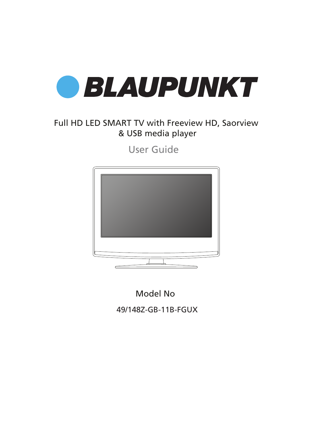

## Full HD LED SMART TV with Freeview HD, Saorview & USB media player

User Guide



Model No

49/148Z-GB-11B-FGUX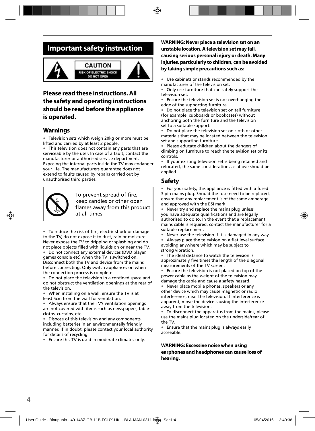## **Important safety instruction**



## **Please read these instructions. All the safety and operating instructions should be read before the appliance is operated.**

## **Warnings**

Television sets which weigh 20kg or more must be lifted and carried by at least 2 people.

This television does not contain any parts that are serviceable by the user. In case of a fault, contact the manufacturer or authorised service department. Exposing the internal parts inside the TV may endanger your life. The manufacturers guarantee does not extend to faults caused by repairs carried out by unauthorised third parties.



To prevent spread of fire, keep candles or other open flames away from this product at all times

• To reduce the risk of fire, electric shock or damage to the TV, do not expose it to dust, rain or moisture. Never expose the TV to dripping or splashing and do not place objects filled with liquids on or near the TV.

• Do not connect any external devices (DVD player, games console etc) when the TV is switched on. Disconnect both the TV and device from the mains before connecting. Only switch appliances on when the connection process is complete.

• Do not place the television in a confined space and do not obstruct the ventilation openings at the rear of the television.

• When installing on a wall, ensure the TV is at least 5cm from the wall for ventilation.

• Always ensure that the TV's ventilation openings are not covered with items such as newspapers, tablecloths, curtains, etc.

Dispose of this television and any components including batteries in an environmentally friendly manner. If in doubt, please contact your local authority for details of recycling.

• Ensure this TV is used in moderate climates only.

### **WARNING: Never place a television set on an unstable location. A television set may fall, causing serious personal injury or death. Many injuries, particularly to children, can be avoided by taking simple precautions such as:**

• Use cabinets or stands recommended by the manufacturer of the television set.

• Only use furniture that can safely support the television set.

• Ensure the television set is not overhanging the edge of the supporting furniture.

• Do not place the television set on tall furniture (for example, cupboards or bookcases) without anchoring both the furniture and the television set to a suitable support.

• Do not place the television set on cloth or other materials that may be located between the television set and supporting furniture.

Please educate children about the dangers of climbing on furniture to reach the television set or its controls.

• If your existing television set is being retained and relocated, the same considerations as above should be applied.

### **Safety**

• For your safety, this appliance is fitted with a fused 3 pin mains plug. Should the fuse need to be replaced, ensure that any replacement is of the same amperage and approved with the BSI mark.

• Never try and replace the mains plug unless you have adequate qualifications and are legally authorised to do so. In the event that a replacement mains cable is required, contact the manufacturer for a suitable replacement.

Never use the television if it is damaged in any way.

Always place the television on a flat level surface avoiding anywhere which may be subject to strong vibration.

• The ideal distance to watch the television is approximately five times the length of the diagonal measurements of the TV screen.

• Ensure the television is not placed on top of the power cable as the weight of the television may damage the cable and cause a safety hazard.

• Never place mobile phones, speakers or any other device which may cause magnetic or radio interference, near the television. If interference is apparent, move the device causing the interference away from the television.

• To disconnect the apparatus from the mains, please use the mains plug located on the underside/rear of the TV.

• Ensure that the mains plug is always easily accessible.

**WARNING: Excessive noise when using earphones and headphones can cause loss of hearing.**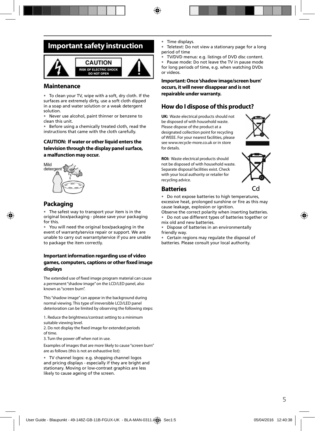## **Important safety instruction**



### **Maintenance**

• To clean your TV, wipe with a soft, dry cloth. If the surfaces are extremely dirty, use a soft cloth dipped in a soap and water solution or a weak detergent solution.

• Never use alcohol, paint thinner or benzene to clean this unit.

• Before using a chemically treated cloth, read the instructions that came with the cloth carefully.

### **CAUTION: If water or other liquid enters the television through the display panel surface, a malfunction may occur.**



## **Packaging**

The safest way to transport your item is in the original box/packaging - please save your packaging for this.

• You will need the original box/packaging in the event of warranty/service repair or support. We are unable to carry out warranty/service if you are unable to package the item correctly.

### **Important information regarding use of video**  games, computers, captions or other fixed image **displays**

The extended use of fixed image program material can cause a permanent "shadow image" on the LCD/LED panel, also known as "screen burn".

This "shadow image" can appear in the background during normal viewing. This type of irreversible LCD/LED panel deterioration can be limited by observing the following steps:

1. Reduce the brightness/contrast setting to a minimum suitable viewing level.

2. Do not display the fixed image for extended periods of time.

3. Turn the power off when not in use.

Examples of images that are more likely to cause "screen burn" are as follows (this is not an exhaustive list):

• TV channel logos: e.g. shopping channel logos and pricing displays - especially if they are bright and stationary. Moving or low-contrast graphics are less likely to cause ageing of the screen.

- Time displays.
- Teletext: Do not view a stationary page for a long period of time
- TV/DVD menus: e.g. listings of DVD disc content.

Pause mode: Do not leave the TV in pause mode for long periods of time, e.g. when watching DVDs or videos.

**Important: Once 'shadow image/screen burn' occurs, it will never disappear and is not repairable under warranty.**

## **How do I dispose of this product?**

**UK:** Waste electrical products should not be disposed of with household waste. Please dispose of the product at a designated collection point for recycling of WEEE. For your nearest facilities, please see www.recycle-more.co.uk or in store for details.



**ROI:** Waste electrical products should not be disposed of with household waste. Separate disposal facilities exist. Check with your local authority or retailer for recycling advice.



### **Batteries**

• Do not expose batteries to high temperatures, excessive heat, prolonged sunshine or fire as this may cause leakage, explosion or ignition.

Observe the correct polarity when inserting batteries. • Do not use different types of batteries together or mix old and new batteries.

• Dispose of batteries in an environmentally friendly way.

• Certain regions may regulate the disposal of batteries. Please consult your local authority.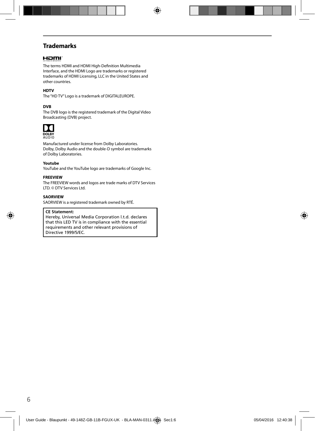## **Trademarks**

### Homi

The terms HDMI and HDMI High-Definition Multimedia Interface, and the HDMI Logo are trademarks or registered trademarks of HDMI Licensing, LLC in the United States and other countries.

### **HDTV**

The "HD TV" Logo is a trademark of DIGITALEUROPE.

### **DVB**

The DVB logo is the registered trademark of the Digital Video Broadcasting (DVB) project.



Manufactured under license from Dolby Laboratories. Dolby, Dolby Audio and the double-D symbol are trademarks of Dolby Laboratories.

#### **Youtube**

YouTube and the YouTube logo are trademarks of Google Inc.

#### **FREEVIEW**

The FREEVIEW words and logos are trade marks of DTV Services LTD. © DTV Services Ltd.

#### **SAORVIEW**

SAORVIEW is a registered trademark owned by RTÉ.

#### **CE Statement:**

Hereby, Universal Media Corporation l.t.d. declares that this LED TV is in compliance with the essential requirements and other relevant provisions of Directive 1999/5/EC.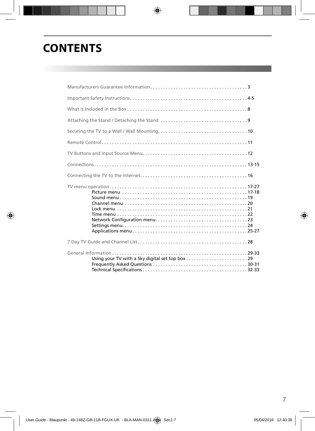# **CONTENTS**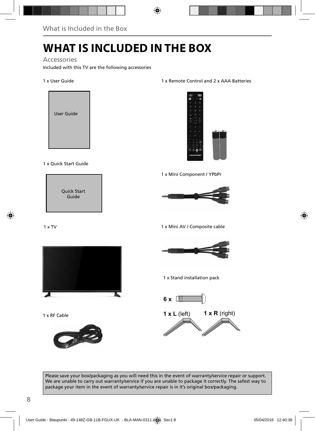# **WHAT IS INCLUDED IN THE BOX**

### Accessories

Included with this TV are the following accessories

### 1 x User Guide



### 1 x Quick Start Guide



### 1 x TV



1 x RF Cable



### 1 x Remote Control and 2 x AAA Batteries



1 x Mini Component / YPbPr



1 x Mini AV / Composite cable



1 x Stand installation pack



Please save your box/packaging as you will need this in the event of warranty/service repair or support. We are unable to carry out warranty/service if you are unable to package it correctly. The safest way to package your item in the event of warranty/service repair is in it's original box/packaging.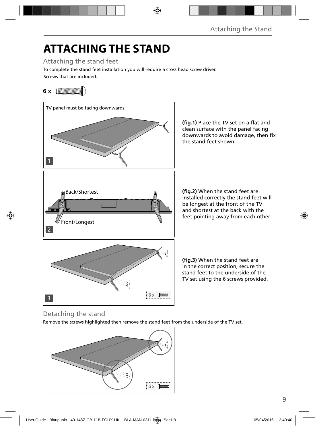# **ATTACHING THE STAND**

Attaching the stand feet

Screws that are included. To complete the stand feet installation you will require a cross head screw driver.

## **6 x** [**MMMMMMM**



(fig.1) Place the TV set on a flat and clean surface with the panel facing downwards to avoid damage, then fix the stand feet shown.

**(fig.2)** When the stand feet are installed correctly the stand feet will be longest at the front of the TV and shortest at the back with the feet pointing away from each other.

**(fig.3)** When the stand feet are in the correct position, secure the stand feet to the underside of the TV set using the 6 screws provided.

## Detaching the stand

Remove the screws highlighted then remove the stand feet from the underside of the TV set.

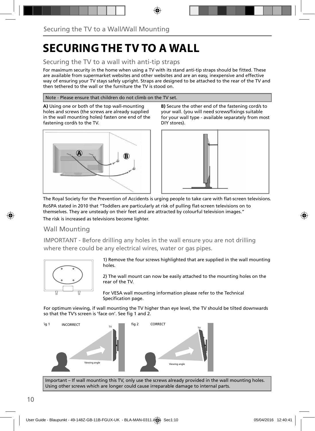# **SECURING THE TV TO A WALL**

## Securing the TV to a wall with anti-tip straps

For maximum security in the home when using a TV with its stand anti-tip straps should be fitted. These are available from supermarket websites and other websites and are an easy, inexpensive and effective way of ensuring your TV stays safely upright. Straps are designed to be attached to the rear of the TV and then tethered to the wall or the furniture the TV is stood on.

### Note - Please ensure that children do not climb on the TV set.

**A)** Using one or both of the top wall-mounting holes and screws (the screws are already supplied in the wall mounting holes) fasten one end of the fastening cord/s to the TV.







The Royal Society for the Prevention of Accidents is urging people to take care with flat-screen televisions.

RoSPA stated in 2010 that "Toddlers are particularly at risk of pulling flat-screen televisions on to themselves. They are unsteady on their feet and are attracted by colourful television images." The risk is increased as televisions become lighter.

## Wall Mounting

IMPORTANT - Before drilling any holes in the wall ensure you are not drilling where there could be any electrical wires, water or gas pipes.



1) Remove the four screws highlighted that are supplied in the wall mounting holes.

2) The wall mount can now be easily attached to the mounting holes on the rear of the TV.

For VESA wall mounting information please refer to the Technical Specification page.

For optimum viewing, if wall mounting the TV higher than eye level, the TV should be tilted downwards so that the TV's screen is 'face on'. See fig 1 and 2.



Important – If wall mounting this TV, only use the screws already provided in the wall mounting holes. Using other screws which are longer could cause irreparable damage to internal parts.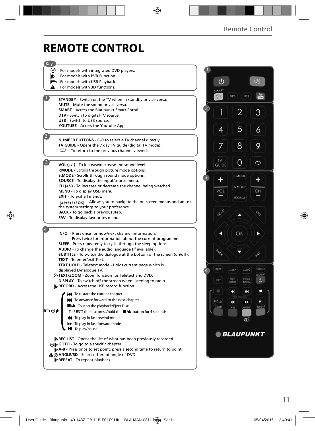# **REMOTE CONTROL**

| Key            |                                                                                                                          |                 |                              |                |
|----------------|--------------------------------------------------------------------------------------------------------------------------|-----------------|------------------------------|----------------|
|                | (o) For models with integrated DVD players.                                                                              |                 |                              |                |
| D)             | For models with PVR Function.                                                                                            |                 |                              |                |
|                | For models with USB Playback.                                                                                            |                 |                              | 吖              |
| ▲              | For models with 3D functions.                                                                                            |                 |                              |                |
|                |                                                                                                                          |                 |                              |                |
|                | <b>STANDBY</b> - Switch on the TV when in standby or vice versa.                                                         |                 | DTV<br><b>USB</b>            |                |
|                | MUTE - Mute the sound or vice versa.                                                                                     |                 |                              |                |
|                | <b>SMART</b> - Access the Blaupunkt Smart Portal.                                                                        |                 |                              | 3              |
|                | DTV - Switch to digital TV source.                                                                                       |                 |                              |                |
|                | <b>USB</b> - Switch to USB source.                                                                                       |                 |                              |                |
|                | YOUTUBE - Access the Youtube App.                                                                                        |                 | 5                            | 6              |
|                |                                                                                                                          |                 |                              |                |
|                | NUMBER BUTTONS - 0-9 to select a TV channel directly.                                                                    |                 |                              |                |
|                | TV GUIDE - Opens the 7 day TV guide (digital TV mode).                                                                   |                 | 8                            | 9              |
|                | $\mathbb{C}$ - To return to the previous channel viewed.                                                                 |                 |                              |                |
|                |                                                                                                                          | TV.             |                              |                |
| $\overline{3}$ | VOL $(+/-)$ - To increase/decrease the sound level.                                                                      | GUIDE           | 0                            | دمج            |
|                | P.MODE - Scrolls through picture mode options.                                                                           |                 |                              |                |
|                | S.MODE - Scrolls through sound mode options.                                                                             |                 | P.MODE                       |                |
|                | SOURCE - To display the input/source menu.                                                                               |                 |                              |                |
|                | $CH (+/-)$ - To increase or decrease the channel being watched.                                                          |                 | <b>S.MODE</b>                |                |
|                | MENU - To display OSD menu.                                                                                              | VOL             |                              | CН             |
|                | EXIT - To exit all menus.                                                                                                |                 | SOURCE                       |                |
|                | (A/V/4/M/OK) - Allows you to navigate the on-screen menus and adjust                                                     |                 |                              |                |
|                | the system settings to your preference.                                                                                  |                 |                              |                |
|                | <b>BACK</b> - To go back a previous step.                                                                                |                 |                              |                |
|                | FAV - To display favourites menu.                                                                                        |                 |                              |                |
|                |                                                                                                                          |                 |                              |                |
|                | <b>INFO</b> - Press once for now/next channel information.                                                               |                 | OK                           |                |
|                | - Press twice for information about the current programme.                                                               |                 |                              |                |
|                | SLEEP - Press repeatedly to cycle through the sleep options.                                                             |                 |                              |                |
|                | AUDIO - To change the audio language (if available).                                                                     |                 |                              |                |
|                | <b>SUBTITLE</b> - To switch the dialogue at the bottom of the screen (on/off).                                           |                 |                              |                |
|                | <b>TEXT</b> - To enter/exit Text.                                                                                        |                 |                              |                |
|                | <b>TEXT HOLD</b> - Teletext mode - Holds current page which is                                                           | INFO            | <b>SLEEP</b><br><b>AUDIO</b> | <b>SUBSTLE</b> |
|                | displayed (Analogue TV).                                                                                                 |                 |                              | <b>DISPLAY</b> |
|                | @TEXT/ZOOM - Zoom function for Teletext and DVD.                                                                         | TEXT            | TEXT<br>HOLD                 | O.             |
|                | DISPLAY - To switch off the screen when listening to radio.<br>RECORD - Access the USB record function.                  |                 | ZOOM                         |                |
|                |                                                                                                                          | o               | K<br>ж                       |                |
|                | <b>14</b> - To restart the current chapter                                                                               |                 |                              |                |
|                | >> - To advance forward to the next chapter                                                                              | <b>REC LIST</b> | 44<br>▸                      | ы              |
|                | $\Box$ / $\triangle$ - To stop the playback/Eject Disc                                                                   | GOTO            | ANGLE<br>$A - B$             | REPEAT         |
| ▭◉⋫            | (To EJECT the disc press/hold the ■/▲ button for 4 seconds)                                                              |                 |                              |                |
|                | 44 - To play in fast rewind mode                                                                                         |                 | अव                           |                |
|                | >> - To play in fast forward mode                                                                                        |                 |                              |                |
|                | MI-To play/pause                                                                                                         |                 |                              |                |
|                |                                                                                                                          |                 | <b>BLAUPUNKT</b>             |                |
|                | <b>DREC LIST</b> - Opens the list of what has been previously recorded.                                                  |                 |                              |                |
|                | ⊙ <b>b</b> GOTO - To go to a specific chapter.<br>A-B - Press once to set point, press a second time to return to point. |                 |                              |                |
|                | A @ ANGLE/3D - Select different angle of DVD.                                                                            |                 |                              |                |
|                | <b>EXEPEAT</b> - To repeat playback.                                                                                     |                 |                              |                |
|                |                                                                                                                          |                 |                              |                |
|                |                                                                                                                          |                 |                              |                |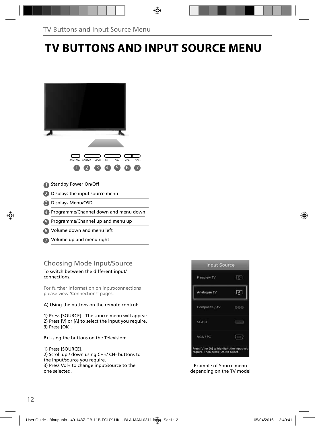# **TV BUTTONS AND INPUT SOURCE MENU**

| CH+<br>SOURCE<br>MENU<br>CH-<br>STANDBY<br>VOL-<br>VOL+<br>$\overline{A}$<br>$6 \overline{6}$<br>3<br>5 |
|---------------------------------------------------------------------------------------------------------|
| <b>Standby Power On/Off</b>                                                                             |
| Displays the input source menu                                                                          |
| Displays Menu/OSD                                                                                       |
| Programme/Channel down and menu down                                                                    |
| Programme/Channel up and menu up                                                                        |
| <b>6</b> Volume down and menu left                                                                      |

- 
- Volume up and menu right 7

## Choosing Mode Input/Source

To switch between the different input/ connections.

For further information on input/connections please view 'Connections' pages.

A) Using the buttons on the remote control:

1) Press [SOURCE] - The source menu will appear. 2) Press  $[V]$  or  $[\Lambda]$  to select the input you require. 3) Press [OK].

B) Using the buttons on the Television:

1) Press [SOURCE].

2) Scroll up / down using CH+/ CH- buttons to the input/source you require. 3) Press Vol+ to change input/source to the

one selected.



Example of Source menu depending on the TV model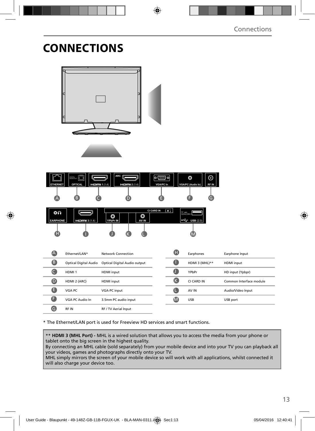# **CONNECTIONS**

| <b>ETHERNET</b>       | <b>RIGHT OF</b><br><b>OPTICAL</b> | ARC I<br>$H \Box H$ 1 (1.4)<br>$H \Box H1 2 (1.4)$ | <b>VGA/PC In</b>                    | O<br><b>VGA/PC (Audio In)</b>  | $\odot$<br>RF IN |                         |  |
|-----------------------|-----------------------------------|----------------------------------------------------|-------------------------------------|--------------------------------|------------------|-------------------------|--|
| A                     | B                                 |                                                    | Ħ                                   |                                | G                |                         |  |
| 0N<br><b>EARPHONE</b> | $H \Box H \Box$ 3 (1.4)           | O<br>O<br>YPbPr IN<br>AV IN                        | $\overline{r}$<br><b>CI CARD IN</b> | 5V =<br>$\leftarrow$ USB (2.0) |                  |                         |  |
| Œ                     |                                   |                                                    |                                     | $\bf\omega$                    |                  |                         |  |
|                       |                                   |                                                    |                                     |                                |                  |                         |  |
| $\triangle$           | Ethernet/LAN*                     | <b>Network Connection</b>                          |                                     | O<br>Earphones                 |                  | Earphone Input          |  |
| ❸                     | <b>Optical Digital Audio</b>      | Optical Digital Audio output                       |                                     | Œ<br>HDMI 3 (MHL)**            |                  | <b>HDMI</b> input       |  |
| $\mathbf \Theta$      | HDMI <sub>1</sub>                 | <b>HDMI</b> input                                  | a                                   | YPbPr                          |                  | HD input (Ypbpr)        |  |
| $\mathbf  \Theta$     | HDMI 2 (ARC)                      | <b>HDMI</b> input                                  |                                     | $\bullet$<br>CI CARD IN        |                  | Common Interface module |  |
| O                     | VGA PC                            | VGA-PC input                                       | G                                   | AV IN                          |                  | Audio/Video Input       |  |
| G                     | VGA PC Audio In                   | 3.5mm PC audio input                               |                                     | $\bf \bm \omega$<br><b>USB</b> |                  | USB port                |  |
| G                     | RF IN                             | RF / TV Aerial Input                               |                                     |                                |                  |                         |  |

\* The Ethernet/LAN port is used for Freeview HD services and smart functions.

\*\* **HDMI 3 (MHL Port) -** MHL is a wired solution that allows you to access the media from your phone or tablet onto the big screen in the highest quality.

By connecting an MHL cable (sold separately) from your mobile device and into your TV you can playback all your videos, games and photographs directly onto your TV.

MHL simply mirrors the screen of your mobile device so will work with all applications, whilst connected it will also charge your device too.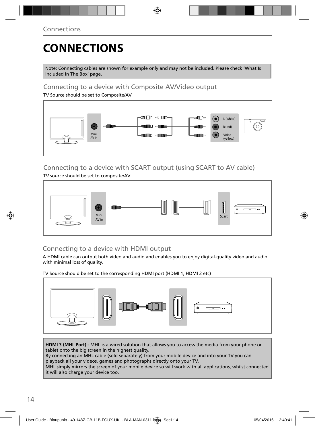# **CONNECTIONS**

Note: Connecting cables are shown for example only and may not be included. Please check 'What Is Included In The Box' page.

## Connecting to a device with Composite AV/Video output

TV Source should be set to Composite/AV



## Connecting to a device with SCART output (using SCART to AV cable)

TV source should be set to composite/AV



## Connecting to a device with HDMI output

A HDMI cable can output both video and audio and enables you to enjoy digital-quality video and audio with minimal loss of quality.

TV Source should be set to the corresponding HDMI port (HDMI 1, HDMI 2 etc)



**HDMI 3 (MHL Port) -** MHL is a wired solution that allows you to access the media from your phone or tablet onto the big screen in the highest quality.

By connecting an MHL cable (sold separately) from your mobile device and into your TV you can playback all your videos, games and photographs directly onto your TV.

MHL simply mirrors the screen of your mobile device so will work with all applications, whilst connected it will also charge your device too.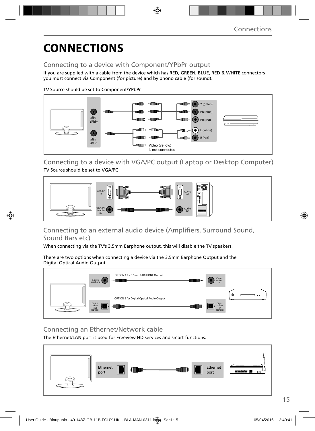# **CONNECTIONS**

## Connecting to a device with Component/YPbPr output

If you are supplied with a cable from the device which has RED, GREEN, BLUE, RED & WHITE connectors you must connect via Component (for picture) and by phono cable (for sound).

TV Source should be set to Component/YPbPr



Connecting to a device with VGA/PC output (Laptop or Desktop Computer) TV Source should be set to VGA/PC



## Connecting to an external audio device (Amplifiers, Surround Sound, Sound Bars etc)

When connecting via the TV's 3.5mm Earphone output, this will disable the TV speakers.

There are two options when connecting a device via the 3.5mm Earphone Output and the Digital Optical Audio Output



## Connecting an Ethernet/Network cable

The Ethernet/LAN port is used for Freeview HD services and smart functions.

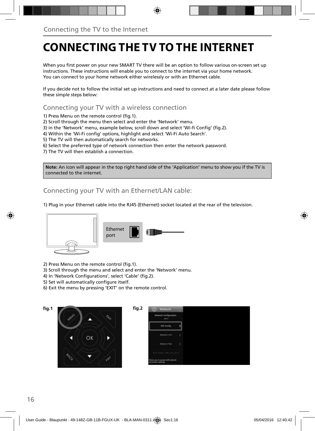# **CONNECTING THE TV TO THE INTERNET**

When you first power on your new SMART TV there will be an option to follow various on-screen set up instructions. These instructions will enable you to connect to the internet via your home network. You can connect to your home network either wirelessly or with an Ethernet cable.

If you decide not to follow the initial set up instructions and need to connect at a later date please follow these simple steps below:

Connecting your TV with a wireless connection

1) Press Menu on the remote control (fig. 1).

2) Scroll through the menu then select and enter the 'Network' menu.

3) in the 'Network' menu, example below, scroll down and select 'Wi-fi Config' (fig.2).

4) Within the 'Wi-Fi config' options, highlight and select 'Wi-Fi Auto Search'.

5) The TV will then automatically search for networks.

6) Select the preferred type of network connection then enter the network password.

7) The TV will then establish a connection.

**Note:** An icon will appear in the top right hand side of the 'Application' menu to show you if the TV is connected to the internet.

Connecting your TV with an Ethernet/LAN cable:

1) Plug in your Ethernet cable into the RJ45 (Ethernet) socket located at the rear of the television.



2) Press Menu on the remote control (fig. 1).

3) Scroll through the menu and select and enter the 'Network' menu.

- 4) In 'Network Configurations', select 'Cable' (fig.2).
- 5) Set will automatically configure itself.
- 6) Exit the menu by pressing 'EXIT' on the remote control.



| <b>Network Configuration</b><br>Wi-Fi |     |  |  |
|---------------------------------------|-----|--|--|
| Wifi Config                           |     |  |  |
| <b>Testemnic Info:</b>                | ۰   |  |  |
| Network Test                          | - 5 |  |  |
| Well Matus (MRC, OS, ASHB)            |     |  |  |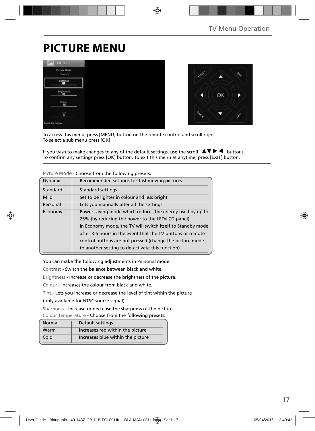# **PICTURE MENU**





To access this menu, press [MENU] button on the remote control and scroll right. To select a sub menu press [OK]

If you wish to make changes to any of the default settings, use the scroll  $\blacktriangle \blacktriangledown \blacktriangleright \blacktriangleleft$  buttons. To confirm any settings press [OK] button. To exit this menu at anytime, press [EXIT] button.

| Dynamic  | Recommended settings for fast moving pictures              |
|----------|------------------------------------------------------------|
| Standard | <b>Standard settings</b>                                   |
| Mild     | Set to be lighter in colour and less bright                |
| Personal | Lets you manually alter all the settings                   |
| Economy  | Power saving mode which reduces the energy used by up to   |
|          | 25% (by reducing the power to the LED/LCD panel).          |
|          | In Economy mode, the TV will switch itself to Standby mode |
|          | after 3-5 hours in the event that the TV buttons or remote |
|          | control buttons are not pressed (change the picture mode   |
|          | to another setting to de-activate this function)           |

**Picture Mode** - Choose from the following presets:

You can make the following adjustments in **Personal** mode:

Contrast - Switch the balance between black and white.

Brightness - Increase or decrease the brightness of the picture.

Colour - Increases the colour from black and white.

Tint - Lets you increase or decrease the level of tint within the picture

(only available for NTSC source signal).

Sharpness - Increase or decrease the sharpness of the picture.

Colour Temperature - Choose from the following presets:

| Normal | Default settings                  |
|--------|-----------------------------------|
| Warm   | Increases red within the picture  |
| Cold   | Increases blue within the picture |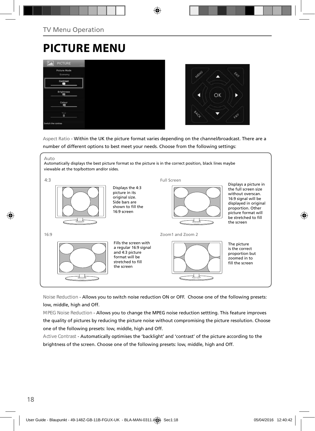# **PICTURE MENU**





Aspect Ratio - Within the UK the picture format varies depending on the channel/broadcast. There are a number of different options to best meet your needs. Choose from the following settings:



**Noise Reduction** - Allows you to switch noise reduction ON or OFF. Choose one of the following presets: low, middle, high and Off.

**MPEG Noise Reduction** - Allows you to change the MPEG noise reduction settting. This feature improves the quality of pictures by reducing the picture noise without compromising the picture resolution. Choose one of the following presets: low, middle, high and Off.

**Active Contrast** - Automatically optimises the 'backlight' and 'contrast' of the picture according to the brightness of the screen. Choose one of the following presets: low, middle, high and Off.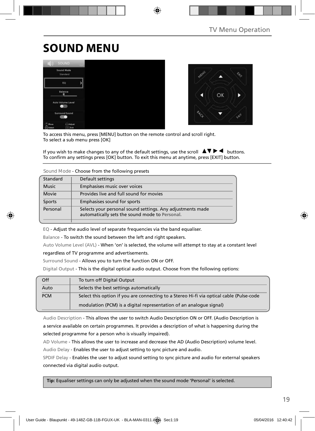# **SOUND MENU**





To access this menu, press [MENU] button on the remote control and scroll right. To select a sub menu press [OK]

If you wish to make changes to any of the default settings, use the scroll  $\Box \Box \blacktriangleright \blacktriangleleft$  buttons. To confirm any settings press [OK] button. To exit this menu at anytime, press [EXIT] button.

### **Sound Mode** - Choose from the following presets

| Standard     | Default settings                                                                                             |
|--------------|--------------------------------------------------------------------------------------------------------------|
| <b>Music</b> | Emphasises music over voices                                                                                 |
| Movie        | Provides live and full sound for movies                                                                      |
| Sports       | Emphasises sound for sports                                                                                  |
| Personal     | Selects your personal sound settings. Any adjustments made<br>automatically sets the sound mode to Personal. |

EQ - Adjust the audio level of separate frequencies via the band equaliser.

Balance - To switch the sound between the left and right speakers.

Auto Volume Level (AVL) - When 'on' is selected, the volume will attempt to stay at a constant level regardless of TV programme and advertisements.

Surround Sound - Allows you to turn the function ON or OFF.

Digital Output - This is the digital optical audio output. Choose from the following options:

| Off        | To turn off Digital Output                                                               |
|------------|------------------------------------------------------------------------------------------|
| Auto       | Selects the best settings automatically                                                  |
| <b>PCM</b> | Select this option if you are connecting to a Stereo Hi-fi via optical cable (Pulse-code |
|            | modulation (PCM) is a digital representation of an analogue signal)                      |

Audio Description - This allows the user to switch Audio Description ON or OFF. (Audio Description is a service available on certain programmes. It provides a description of what is happening during the selected programme for a person who is visually impaired).

AD Volume - This allows the user to increase and decrease the AD (Audio Description) volume level. Audio Delay - Enables the user to adjust setting to sync picture and audio.

SPDIF Delay - Enables the user to adjust sound setting to sync picture and audio for external speakers connected via digital audio output.

 **Tip:** Equaliser settings can only be adjusted when the sound mode 'Personal' is selected.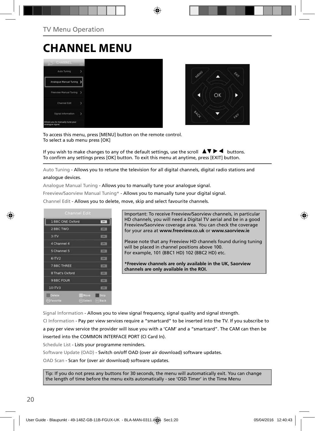# **CHANNEL MENU**





To access this menu, press [MENU] button on the remote control. To select a sub menu press [OK]

If you wish to make changes to any of the default settings, use the scroll  $\Box \Box \blacktriangleright \blacktriangleleft$  buttons. To confirm any settings press [OK] button. To exit this menu at anytime, press [EXIT] button.

Auto Tuning - Allows you to retune the television for all digital channels, digital radio stations and analogue devices.

Analogue Manual Tuning - Allows you to manually tune your analogue signal.

Freeview/Saorview Manual Tuning\* - Allows you to manually tune your digital signal.

Channel Edit - Allows you to delete, move, skip and select favourite channels.



Important: To receive Freeview/Saorview channels, in particular HD channels, you will need a Digital TV aerial and be in a good Freeview/Saorview coverage area. You can check the coverage for your area at **www.freeview.co.uk** or **www.saorview.ie**

Please note that any Freeview HD channels found during tuning will be placed in channel positions above 100. For example, 101 (BBC1 HD) 102 (BBC2 HD) etc.

**\*Freeview channels are only available in the UK, Saorview channels are only available in the ROI.**

Signal Information - Allows you to view signal frequency, signal quality and signal strength.

CI Information - Pay per view services require a "smartcard" to be inserted into the TV. If you subscribe to a pay per view service the provider will issue you with a 'CAM' and a "smartcard". The CAM can then be inserted into the COMMON INTERFACE PORT (CI Card In).

Schedule List - Lists your programme reminders.

Software Update (OAD) - Switch on/off OAD (over air download) software updates.

OAD Scan - Scan for (over air download) software updates.

Tip: If you do not press any buttons for 30 seconds, the menu will automatically exit. You can change the length of time before the menu exits automatically - see 'OSD Timer' in the Time Menu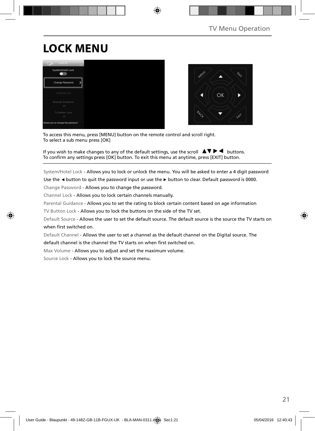# **LOCK MENU**





To access this menu, press [MENU] button on the remote control and scroll right. To select a sub menu press [OK]

If you wish to make changes to any of the default settings, use the scroll  $\Box \Box \blacktriangleright \blacktriangleleft$  buttons. To confirm any settings press [OK] button. To exit this menu at anytime, press [EXIT] button.

System/Hotel Lock - Allows you to lock or unlock the menu. You will be asked to enter a 4 digit password

Use the **◄** button to quit the password input or use the **►** button to clear. Default password is 0000.

Change Password - Allows you to change the password.

Channel Lock - Allows you to lock certain channels manually.

Parental Guidance - Allows you to set the rating to block certain content based on age information

TV Button Lock - Allows you to lock the buttons on the side of the TV set.

Default Source - Allows the user to set the default source. The default source is the source the TV starts on when first switched on.

Default Channel - Allows the user to set a channel as the default channel on the Digital source. The

default channel is the channel the TV starts on when first switched on.

Max Volume - Allows you to adjust and set the maximum volume.

Source Lock - Allows you to lock the source menu.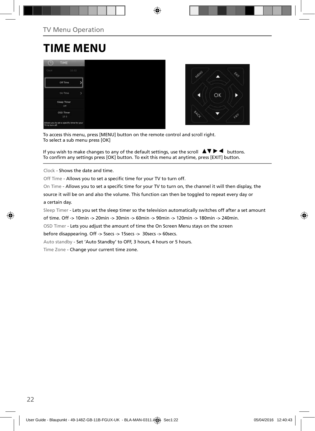# **TIME MENU**





To access this menu, press [MENU] button on the remote control and scroll right. To select a sub menu press [OK]

If you wish to make changes to any of the default settings, use the scroll  $\Box \Box \blacktriangleright \blacktriangleleft$  buttons. To confirm any settings press [OK] button. To exit this menu at anytime, press [EXIT] button.

Clock - Shows the date and time.

Off Time - Allows you to set a specific time for your TV to turn off.

On Time - Allows you to set a specific time for your TV to turn on, the channel it will then display, the

source it will be on and also the volume. This function can then be toggled to repeat every day or a certain day.

Sleep Timer - Lets you set the sleep timer so the television automatically switches off after a set amount

of time. Off -> 10min -> 20min -> 30min -> 60min -> 90min -> 120min -> 180min -> 240min.

OSD Timer - Lets you adjust the amount of time the On Screen Menu stays on the screen

before disappearing. Off -> 5secs -> 15secs -> 30secs -> 60secs.

Auto standby - Set 'Auto Standby' to OFF, 3 hours, 4 hours or 5 hours.

Time Zone - Change your current time zone.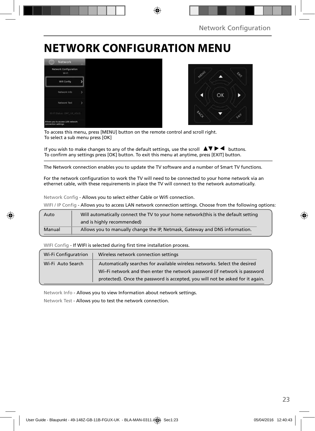# **NETWORK CONFIGURATION MENU**





To access this menu, press [MENU] button on the remote control and scroll right. To select a sub menu press [OK]

If you wish to make changes to any of the default settings, use the scroll  $\blacktriangle \blacktriangledown \blacktriangleright \blacktriangleleft$  buttons. To confirm any settings press [OK] button. To exit this menu at anytime, press [EXIT] button.

The Network connection enables you to update the TV software and a number of Smart TV functions.

For the network configuration to work the TV will need to be connected to your home network via an ethernet cable, with these requirements in place the TV will connect to the network automatically.

Network Config - Allows you to select either Cable or Wifi connection.

WIFI / IP Config - Allows you to access LAN network connection settings. Choose from the following options:

| Auto   | Will automatically connect the TV to your home network (this is the default setting |
|--------|-------------------------------------------------------------------------------------|
|        | and is highly recommended)                                                          |
| Manual | Allows you to manually change the IP, Netmask, Gateway and DNS information.         |

WIFI Config - If WIFI is selected during first time installation process.

| Wi-Fi Configuratrion | Wireless network connection settings                                           |
|----------------------|--------------------------------------------------------------------------------|
| Wi-Fi Auto Search    | Automatically searches for available wireless networks. Select the desired     |
|                      | Wi-Fi network and then enter the network password (if network is password      |
|                      | protected). Once the password is accepted, you will not be asked for it again. |

Network Info - Allows you to view Information about network settings.

Network Test - Allows you to test the network connection.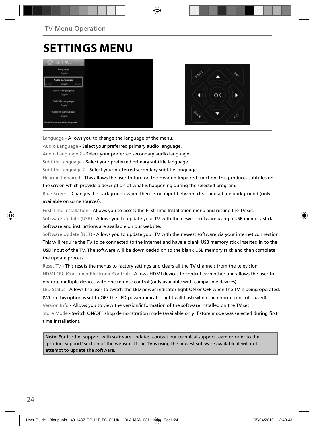# **SETTINGS MENU**





Language - Allows you to change the language of the menu.

Audio Language - Select your preferred primary audio language.

Audio Language 2 - Select your preferred secondary audio language.

Subtitle Language - Select your preferred primary subtitle language.

Subtitle Language 2 - Select your preferred secondary subtitle language.

Hearing Impaired - This allows the user to turn on the Hearing Impaired function, this produces subtitles on the screen which provide a description of what is happening during the selected program.

Blue Screen - Changes the background when there is no input between clear and a blue background (only available on some sources).

First Time Installation - Allows you to access the First Time Installation menu and retune the TV set.

Software Update (USB) - Allows you to update your TV with the newest software using a USB memory stick. Software and instructions are available on our website.

Software Update (NET) - Allows you to update your TV with the newest software via your internet connection. This will require the TV to be connected to the internet and have a blank USB memory stick inserted in to the USB input of the TV. The software will be downloaded on to the blank USB memory stick and then complete the update process.

Reset TV - This resets the menus to factory settings and clears all the TV channels from the television. HDMI CEC (Consumer Electronic Control) - Allows HDMI devices to control each other and allows the user to operate multiple devices with one remote control (only available with compatible devices).

LED Status - Allows the user to switch the LED power indicator light ON or OFF when the TV is being operated. (When this option is set to OFF the LED power indicator light will flash when the remote control is used).

Version Info - Allows you to view the version/information of the software installed on the TV set.

Store Mode - Switch ON/OFF shop demonstration mode (available only if store mode was selected during first time installation).

**Note**: For further support with software updates, contact our technical support team or refer to the 'product support' section of the website. If the TV is using the newest software available it will not attempt to update the software.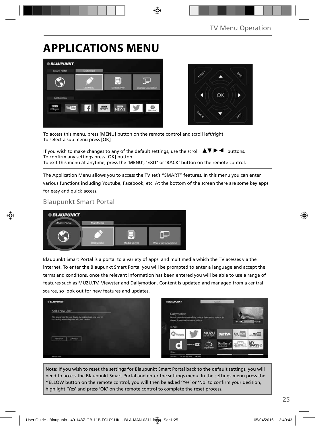# **APPLICATIONS MENU**





To access this menu, press [MENU] button on the remote control and scroll left/right. To select a sub menu press [OK]

If you wish to make changes to any of the default settings, use the scroll  $\Box \Box \blacktriangleright \blacktriangleleft$  buttons. To confirm any settings press [OK] button. To exit this menu at anytime, press the 'MENU', 'EXIT' or 'BACK' button on the remote control.

The Application Menu allows you to access the TV set's "SMART" features. In this menu you can enter various functions including Youtube, Facebook, etc. At the bottom of the screen there are some key apps for easy and quick access.

## Blaupunkt Smart Portal



Blaupunkt Smart Portal is a portal to a variety of apps and multimedia which the TV acesses via the internet. To enter the Blaupunkt Smart Portal you will be prompted to enter a language and accept the terms and conditons. once the relevant information has been entered you will be able to use a range of features such as MUZU.TV, Viewster and Dailymotion. Content is updated and managed from a central source, so look out for new features and updates.



**Note**: If you wish to reset the settings for Blaupunkt Smart Portal back to the default settings, you will need to access the Blaupunkt Smart Portal and enter the settings menu. In the settings menu press the YELLOW button on the remote control, you will then be asked 'Yes' or 'No' to confirm your decision, highlight 'Yes' and press 'OK' on the remote control to complete the reset process.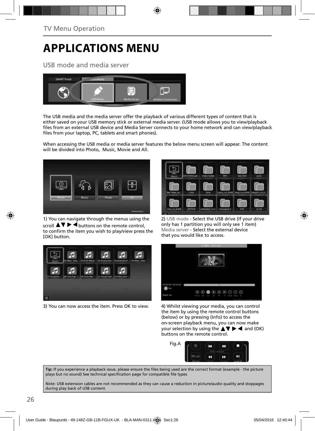# **APPLICATIONS MENU**

USB mode and media server



The USB media and the media server offer the playback of various different types of content that is either saved on your USB memory stick or external media server. (USB mode allows you to view/playback files from an external USB device and Media Server connects to your home network and can view/playback files from your laptop, PC, tablets and smart phones).

When accessing the USB media or media server features the below menu screen will appear. The content will be divided into Photo, Music, Movie and All.



1) You can navigate through the menus using the scroll  $\triangle \triangledown \triangleright \blacktriangleleft$  buttons on the remote control, to confirm the item you wish to play/view press the [OK] button.



3) You can now access the item. Press OK to view.



2) USB mode - Select the USB drive (If your drive only has 1 partition you will only see 1 item) Media server - Select the external device that you would like to access.



4) Whilst viewing your media, you can control the item by using the remote control buttons (below) or by pressing (Info) to access the on-screen playback menu, you can now make your selection by using the  $\blacktriangle \blacktriangledown \blacktriangleright \blacktriangleleft$  and (OK) buttons on the remote control.



Tip: If you experience a playback issue, please ensure the files being used are the correct format (example - the picture plays but no sound) See technical specification page for compatible file types

Note: USB extension cables are not recommended as they can cause a reduction in picture/audio quality and stoppages during play back of USB content.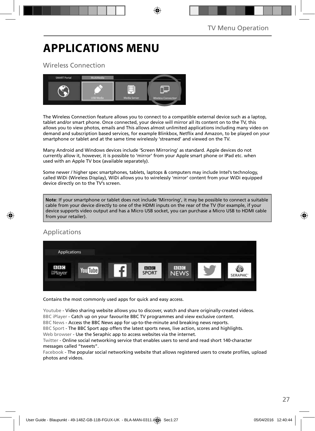# **APPLICATIONS MENU**

## Wireless Connection



The Wireless Connection feature allows you to connect to a compatible external device such as a laptop, tablet and/or smart phone. Once connected, your device will mirror all its content on to the TV, this allows you to view photos, emails and This allows almost unlimited applications including many video on demand and subscription based services, for example Blinkbox, Netflix and Amazon, to be played on your smartphone or tablet and at the same time wirelessly 'streamed' and viewed on the TV.

Many Android and Windows devices include 'Screen Mirroring' as standard. Apple devices do not currently allow it, however, it is possible to 'mirror' from your Apple smart phone or IPad etc. when used with an Apple TV box (available separately).

Some newer / higher spec smartphones, tablets, laptops & computers may include Intel's technology, called WiDi (Wireless Display), WiDi allows you to wirelessly 'mirror' content from your WiDi equipped device directly on to the TV's screen.

**Note**: If your smartphone or tablet does not include 'Mirroring', it may be possible to connect a suitable cable from your device directly to one of the HDMI inputs on the rear of the TV (for example, if your device supports video output and has a Micro USB socket, you can purchase a Micro USB to HDMI cable from your retailer).

## Applications



Contains the most commonly used apps for quick and easy access.

Youtube - Video sharing website allows you to discover, watch and share originally-created videos. BBC iPlayer - Catch up on your favourite BBC TV programmes and view exclusive content.

BBC News - Access the BBC News app for up-to-the-minute and breaking news reports.

BBC Sport - The BBC Sport app offers the latest sports news, live action, scores and highlights.

Web browser - Use the Seraphic app to access websites via the internet.

Twitter - Online social networking service that enables users to send and read short 140-character messages called "tweets".

Facebook - The popular social networking website that allows registered users to create profiles, upload photos and videos.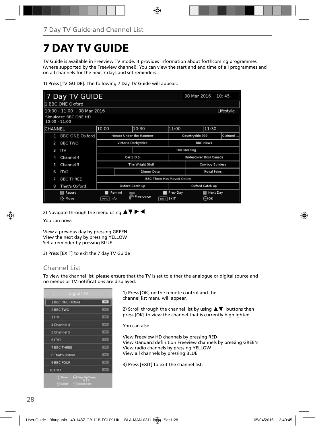# **7 DAY TV GUIDE**

TV Guide is available in Freeview TV mode. It provides information about forthcoming programmes (where supported by the Freeview channel). You can view the start and end time of all programmes and on all channels for the next 7 days and set reminders.

1) Press [TV GUIDE]. The following 7 Day TV Guide will appear..

|                                          | Day TV GUIDE                                |                                   |  |                        |                     | 08 Mar 2016               |  | 10:45           |  |
|------------------------------------------|---------------------------------------------|-----------------------------------|--|------------------------|---------------------|---------------------------|--|-----------------|--|
|                                          | 1 BBC ONE Oxford                            |                                   |  |                        |                     |                           |  |                 |  |
|                                          | 08 Mar 2016<br>$10:00 - 11:00$<br>Lifestyle |                                   |  |                        |                     |                           |  |                 |  |
| Simulcast: BBC ONE HD<br>$10:00 - 11:00$ |                                             |                                   |  |                        |                     |                           |  |                 |  |
| CHANNEL                                  |                                             | 10:00                             |  | 10:30                  |                     | 11:00                     |  | 11:30           |  |
| 1                                        | <b>BBC ONE Oxford</b>                       | Homes Under the Hammer            |  | Countryside 999        |                     | Claimed                   |  |                 |  |
| $\overline{2}$                           | <b>BBC TWO</b>                              | Victoria Derbyshire               |  | <b>BBC News</b>        |                     |                           |  |                 |  |
| 3                                        | ITV                                         |                                   |  |                        | <b>This Morning</b> |                           |  |                 |  |
| 4                                        | Channel 4                                   | Car S.O.S                         |  | Undercover Boss Canada |                     |                           |  |                 |  |
| 5                                        | Channel 5                                   | The Wright Stuff                  |  |                        | Cowboy Builders     |                           |  |                 |  |
| 6                                        | IV2                                         | <b>Dinner Date</b>                |  |                        | <b>Royal Pains</b>  |                           |  |                 |  |
| 7                                        | <b>BBC THREE</b>                            | <b>BBC Three Has Moved Online</b> |  |                        |                     |                           |  |                 |  |
| 8                                        | That's Oxford                               | Oxford Catch up                   |  |                        | Oxford Catch up     |                           |  |                 |  |
|                                          | Record<br>⊙ Move                            | Remind<br>INFO Info               |  | Freeview               |                     | Prev Day<br>$EXIT$ $EXIT$ |  | Next Day<br>⊚oк |  |
|                                          |                                             |                                   |  |                        |                     |                           |  |                 |  |

2) Navigate through the menu using  $\blacktriangle \blacktriangledown \blacktriangleright \blacktriangleleft$ .

You can now:

View a previous day by pressing GREEN View the next day by pressing YELLOW Set a reminder by pressing BLUE

3) Press [EXIT] to exit the 7 day TV Guide

## Channel List

To view the channel list, please ensure that the TV is set to either the analogue or digital source and no menus or TV notifications are displayed.

| Digital TV                                               |             |
|----------------------------------------------------------|-------------|
| 1 BBC ONE Oxford                                         | - pry       |
| 2 BBC TWO                                                | m           |
| 3ITV                                                     | 228         |
| 4 Channel 4                                              | <b>REV</b>  |
| 5 Channel 5                                              | <b>RPV</b>  |
| 6 ITV2                                                   | (TT)        |
| <b>7 BBC THREE</b>                                       | <b>Long</b> |
| 8 That's Oxford                                          | 274         |
| <b>9 BBC FOUR</b>                                        | T(T)        |
| 10 ITV3                                                  | <b>STER</b> |
| Move O Page Up/Down<br><b>@Select &gt; + Select Sort</b> |             |

1) Press [OK] on the remote control and the channel list menu will appear.

2) Scroll through the channel list by using  $\blacktriangle\blacktriangledown$  buttons then press [OK] to view the channel that is currently highlighted.

You can also:

View Freeview HD channels by pressing RED View standard definition Freeview channels by pressing GREEN View radio channels by pressing YELLOW View all channels by pressing BLUE

3) Press [EXIT] to exit the channel list.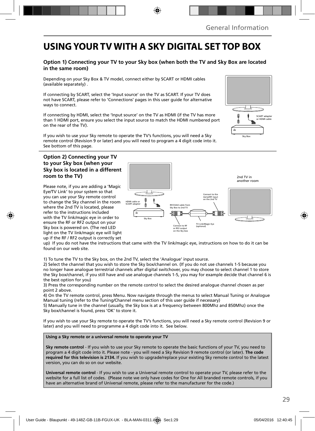## **USING YOUR TV WITH A SKY DIGITAL SET TOP BOX**

### **Option 1) Connecting your TV to your Sky box (when both the TV and Sky Box are located in the same room)**

Depending on your Sky Box & TV model, connect either by SCART or HDMI cables (available separately) .

If connecting by SCART, select the 'Input source' on the TV as SCART. If your TV does not have SCART, please refer to 'Connections' pages in this user guide for alternative ways to connect.

If connecting by HDMI, select the 'Input source' on the TV as HDMI (if the TV has more than 1 HDMI port, ensure you select the input source to match the HDMI numbered port on the rear of the TV).

If you wish to use your Sky remote to operate the TV's functions, you will need a Sky remote control (Revision 9 or later) and you will need to program a 4 digit code into it. See bottom of this page.

### **Option 2) Connecting your TV to your Sky box (when your Sky box is located in a different room to the TV)**

Please note, if you are adding a 'Magic Eye/TV Link' to your system so that you can use your Sky remote control to change the Sky channel in the room where the 2nd TV is located, please refer to the instructions included with the TV link/magic eye in order to ensure the RF or RF2 output on your Sky box is powered on. (The red LED light on the TV link/magic eye will light up if the RF / RF2 output is correctly set



up) If you do not have the instructions that came with the TV link/magic eye, instructions on how to do it can be found on our web site.

1) To tune the TV to the Sky box, on the 2nd TV, select the 'Analogue' input source.

2) Select the channel that you wish to store the Sky box/channel on. (If you do not use channels 1-5 because you no longer have analogue terrestrial channels after digital switchover, you may choose to select channel 1 to store the Sky box/channel, if you still have and use analogue channels 1-5, you may for example decide that channel 6 is the best option for you)

3) Press the corresponding number on the remote control to select the desired analogue channel chosen as per point 2 above.

4) On the TV remote control, press Menu. Now navigate through the menus to select Manual Tuning or Analogue Manual tuning (refer to the Tuning/Channel menu section of this user guide if necessary)

5) Manually tune in the channel (usually, the Sky box is at a frequency between 800Mhz and 850Mhz) once the Sky box/channel is found, press 'OK' to store it.

If you wish to use your Sky remote to operate the TV's functions, you will need a Sky remote control (Revision 9 or later) and you will need to programme a 4 digit code into it. See below.

**Using a Sky remote or a universal remote to operate your TV** 

**Sky remote control** - If you wish to use your Sky remote to operate the basic functions of your TV, you need to program a 4 digit code into it. Please note - you will need a Sky Revision 9 remote control (or later). **The code required for this television is 2134.** If you wish to upgrade/replace your existing Sky remote control to the latest version, you can do so on our website.

**Universal remote control** - If you wish to use a Universal remote control to operate your TV, please refer to the website for a full list of codes. (Please note we only have codes for One for All branded remote controls, if you have an alternative brand of Universal remote, please refer to the manufacturer for the code.)

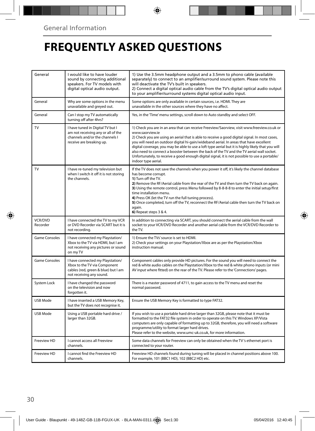# **FREQUENTLY ASKED QUESTIONS**

| General              | I would like to have louder<br>sound by connecting additional<br>speakers. For TV models with<br>digital optical audio output.       | 1) Use the 3.5mm headphone output and a 3.5mm to phono cable (available<br>separately) to connect to an amplifier/surround sound system. Please note this<br>will deactivate the TV's built in speakers.<br>2) Connect a digital optical audio cable from the TV's digital optical audio output<br>to your amplifier/surround systems digital optical audio input.                                                                                                                                                                                                                                                                  |  |
|----------------------|--------------------------------------------------------------------------------------------------------------------------------------|-------------------------------------------------------------------------------------------------------------------------------------------------------------------------------------------------------------------------------------------------------------------------------------------------------------------------------------------------------------------------------------------------------------------------------------------------------------------------------------------------------------------------------------------------------------------------------------------------------------------------------------|--|
| General              | Why are some options in the menu<br>unavailable and greyed out.                                                                      | Some options are only available in certain sources, i.e. HDMI. They are<br>unavailable in the other sources where they have no affect.                                                                                                                                                                                                                                                                                                                                                                                                                                                                                              |  |
| General              | Can I stop my TV automatically<br>turning off after 4hrs?                                                                            | Yes, in the 'Time' menu settings, scroll down to Auto standby and select OFF.                                                                                                                                                                                                                                                                                                                                                                                                                                                                                                                                                       |  |
| TV                   | I have tuned in Digital TV but I<br>am not receiving any or all of the<br>channels and/or the channels I<br>receive are breaking up. | 1) Check you are in an area that can receive Freeview/Saorview, visit www.freeview.co.uk or<br>www.saorview.ie<br>2) Check you are using an aerial that is able to receive a good digital signal. In most cases,<br>you will need an outdoor digital hi-gain/wideband aerial. In areas that have excellent<br>digital coverage, you may be able to use a loft type aerial but it is highly likely that you will<br>also need to connect a booster between the back of the TV and the TV aerial wall socket.<br>Unfortunately, to receive a good enough digital signal, it is not possible to use a portable/<br>indoor type aerial. |  |
| TV                   | I have re-tuned my television but<br>when I switch it off it is not storing<br>the channels.                                         | If the TV does not save the channels when you power it off, it's likely the channel database<br>has become corrupt.<br>1) Turn off the TV.<br>2) Remove the RF/Aerial cable from the rear of the TV and then turn the TV back on again.<br>3) Using the remote control, press Menu followed by 8-8-8-8 to enter the initial setup/first<br>time installation menu.<br>4) Press OK (let the TV run the full tuning process).<br>5) Once completed, turn off the TV, reconnect the RF/Aerial cable then turn the TV back on<br>again.<br>6) Repeat steps 3 & 4.                                                                       |  |
| VCR/DVD<br>Recorder  | I have connected the TV to my VCR<br>or DVD Recorder via SCART but it is<br>not recordina.                                           | In addition to connecting via SCART, you should connect the aerial cable from the wall<br>socket to your VCR/DVD Recorder and another aerial cable from the VCR/DVD Recorder to<br>the TV.                                                                                                                                                                                                                                                                                                                                                                                                                                          |  |
| <b>Game Consoles</b> | I have connected my Playstation/<br>Xbox to the TV via HDMI, but I am<br>not receiving any pictures or sound<br>on my TV             | 1) Ensure the TVs' source is set to HDMI.<br>2) Check your settings on your Playstation/Xbox are as per the Playstation/Xbox<br>instruction manual.                                                                                                                                                                                                                                                                                                                                                                                                                                                                                 |  |
| <b>Game Consoles</b> | I have connected my Playstation/<br>Xbox to the TV via Component<br>cables (red, green & blue) but I am<br>not receiving any sound.  | Component cables only provide HD pictures. For the sound you will need to connect the<br>red & white audio cables on the Playstation/Xbox to the red & white phono inputs (or mini<br>AV input where fitted) on the rear of the TV. Please refer to the 'Connections' pages.                                                                                                                                                                                                                                                                                                                                                        |  |
| System Lock          | I have changed the password<br>on the television and now<br>forgotten it.                                                            | There is a master password of 4711, to gain access to the TV menu and reset the<br>normal password.                                                                                                                                                                                                                                                                                                                                                                                                                                                                                                                                 |  |
| USB Mode             | I have inserted a USB Memory Key,<br>but the TV does not recognise it.                                                               | Ensure the USB Memory Key is formatted to type FAT32.                                                                                                                                                                                                                                                                                                                                                                                                                                                                                                                                                                               |  |
| USB Mode             | Using a USB portable hard drive /<br>larger than 32GB.                                                                               | If you wish to use a portable hard drive larger than 32GB, please note that it must be<br>formatted to the FAT32 file system in order to operate on this TV. Windows XP/Vista<br>computers are only capable of formatting up to 32GB, therefore, you will need a software<br>programme/utility to format larger hard drives.<br>Please refer to the website, www.umc-uk.co.uk, for more information.                                                                                                                                                                                                                                |  |
| Freeview HD          | I cannot access all Freeview<br>channels.                                                                                            | Some data channels for Freeview can only be obtained when the TV's ethernet port is<br>connected to your router.                                                                                                                                                                                                                                                                                                                                                                                                                                                                                                                    |  |
| Freeview HD          | I cannot find the Freeview HD<br>channels.                                                                                           | Freeview HD channels found during tuning will be placed in channel positions above 100.<br>For example, 101 (BBC1 HD), 102 (BBC2 HD) etc.                                                                                                                                                                                                                                                                                                                                                                                                                                                                                           |  |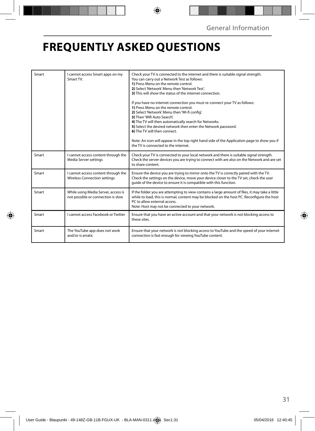# **FREQUENTLY ASKED QUESTIONS**

| Smart | I cannot access Smart apps on my<br>Smart TV.                             | Check your TV is connected to the internet and there is suitable signal strength.<br>You can carry out a Network Test as follows:<br>1) Press Menu on the remote control.<br>2) Select 'Network' Menu then 'Network Test'.<br>3) This will show the status of the internet connection.<br>If you have no internet connection you must re-connect your TV as follows:<br>1) Press Menu on the remote control.<br>2) Select 'Network' Menu then 'Wi-fi config'.<br>3) Then 'Wifi Auto Search'.<br>4) The TV will then automatically search for Networks.<br>5) Select the desired network then enter the Network password.<br>6) The TV will then connect.<br>Note: An icon will appear in the top right hand side of the Application page to show you if<br>the TV is connected to the internet. |
|-------|---------------------------------------------------------------------------|-------------------------------------------------------------------------------------------------------------------------------------------------------------------------------------------------------------------------------------------------------------------------------------------------------------------------------------------------------------------------------------------------------------------------------------------------------------------------------------------------------------------------------------------------------------------------------------------------------------------------------------------------------------------------------------------------------------------------------------------------------------------------------------------------|
| Smart | cannot access content through the<br>Media Server settings                | Check your TV is connected to your local network and there is suitable signal strength.<br>Check the server devices you are trying to connect with are also on the Network and are set<br>to share content.                                                                                                                                                                                                                                                                                                                                                                                                                                                                                                                                                                                     |
| Smart | cannot access content through the<br><b>Wireless Connection settings</b>  | Ensure the device you are trying to mirror onto the TV is correctly paired with the TV.<br>Check the settings on the device, move your device closer to the TV set, check the user<br>quide of the device to ensure it is compatible with this function.                                                                                                                                                                                                                                                                                                                                                                                                                                                                                                                                        |
| Smart | While using Media Server, access is<br>not possible or connection is slow | If the folder you are attempting to view contains a large amount of files, it may take a little<br>while to load, this is normal, content may be blocked on the host PC. Reconfigure the host<br>PC to allow external access.<br>Note: Host may not be connected to your network.                                                                                                                                                                                                                                                                                                                                                                                                                                                                                                               |
| Smart | <b>Lcannot access Facebook or Twitter</b>                                 | Ensure that you have an active account and that your network is not blocking access to<br>these sites.                                                                                                                                                                                                                                                                                                                                                                                                                                                                                                                                                                                                                                                                                          |
| Smart | The YouTube app does not work<br>and/or is erratic                        | Ensure that your network is not blocking access to YouTube and the speed of your internet<br>connection is fast enough for viewing YouTube content.                                                                                                                                                                                                                                                                                                                                                                                                                                                                                                                                                                                                                                             |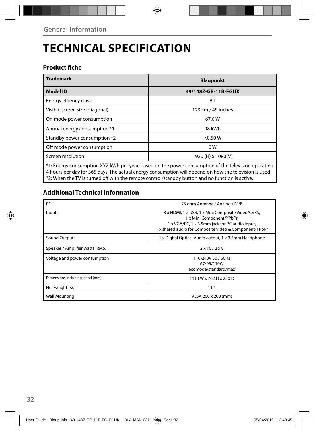# **TECHNICAL SPECIFICATION**

## **Product fiche**

| <b>Trademark</b>                                                                                     | <b>Blaupunkt</b>    |  |  |
|------------------------------------------------------------------------------------------------------|---------------------|--|--|
| <b>Model ID</b>                                                                                      | 49/148Z-GB-11B-FGUX |  |  |
| Energy effiency class                                                                                | $A+$                |  |  |
| Visible screen size (diagonal)                                                                       | 123 cm / 49 inches  |  |  |
| On mode power consumption                                                                            | 67.0W               |  |  |
| Annual energy consumption *1                                                                         | 98 kWh              |  |  |
| Standby power consumption *2                                                                         | < 0.50 W            |  |  |
| Off mode power consumption                                                                           | 0 <sub>W</sub>      |  |  |
| Screen resolution                                                                                    | 1920 (H) x 1080(V)  |  |  |
| t. Energy consumption XYZ kWh per year, based on the power consumption of the television operating * |                     |  |  |

\*1: Energy consumption XYZ kWh per year, based on the power consumption of the television operating 4 hours per day for 365 days. The actual energy consumption will depend on how the television is used. \*2: When the TV is turned off with the remote control/standby button and no function is active.

## **Additional Technical Information**

| <b>RF</b>                       | 75 ohm Antenna / Analog / DVB                                                                                                                                                              |  |  |
|---------------------------------|--------------------------------------------------------------------------------------------------------------------------------------------------------------------------------------------|--|--|
| Inputs                          | 3 x HDMI, 1 x USB, 1 x Mini Composite Video/CVBS,<br>1 x Mini Component/YPbPr,<br>1 x VGA/PC, 1 x 3.5mm jack for PC audio input,<br>1 x shared audio for Composite Video & Component/YPbPr |  |  |
| Sound Outputs                   | 1 x Digital Optical Audio output, 1 x 3.5mm Headphone                                                                                                                                      |  |  |
| Speaker / Amplifier Watts (RMS) | $2 \times 10 / 2 \times 8$                                                                                                                                                                 |  |  |
| Voltage and power consumption   | 110-240V 50 / 60Hz<br>67/95/110W<br>(ecomode/standard/max)                                                                                                                                 |  |  |
| Dimensions including stand (mm) | 1114 W x 702 H x 230 D                                                                                                                                                                     |  |  |
| Net weight (Kgs)                | 11.4                                                                                                                                                                                       |  |  |
| <b>Wall Mounting</b>            | VESA 200 x 200 (mm)                                                                                                                                                                        |  |  |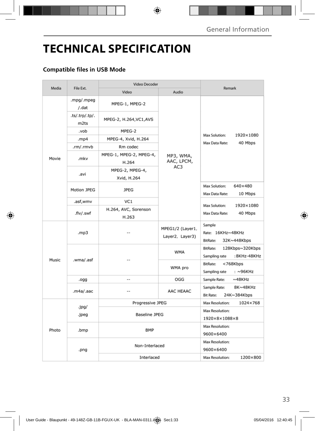# **TECHNICAL SPECIFICATION**

## **Compatible files in USB Mode**

| Media |                                    | <b>Video Decoder</b>             |                                     |                                                                     |  |  |
|-------|------------------------------------|----------------------------------|-------------------------------------|---------------------------------------------------------------------|--|--|
|       | File Ext.                          | Video<br>Audio                   |                                     | Remark                                                              |  |  |
|       | .mpg/.mpeg<br>/.dat                | MPEG-1, MPEG-2                   |                                     |                                                                     |  |  |
|       | .ts/.trp/.tp/.<br>m <sub>2ts</sub> | MPEG-2, H.264, VC1, AVS          |                                     | Max Solution:<br>1920×1080                                          |  |  |
|       | .vob                               | MPEG-2                           |                                     |                                                                     |  |  |
|       | .mp4                               | MPEG-4, Xvid, H.264              |                                     | Max Data Rate:<br>40 Mbps                                           |  |  |
|       | .rm/.rmvb                          | Rm codec                         |                                     |                                                                     |  |  |
| Movie | .mkv                               | MPEG-1, MPEG-2, MPEG-4,<br>H.264 | MP3, WMA,<br>AAC, LPCM,             |                                                                     |  |  |
|       | .avi                               | MPEG-2, MPEG-4,<br>Xvid, H.264   | AC3                                 |                                                                     |  |  |
|       | Motion JPEG                        | <b>JPEG</b>                      |                                     | 640×480<br>Max Solution:<br>Max Data Rate:<br>10 Mbps               |  |  |
|       | .asf,wmv                           | VC <sub>1</sub>                  |                                     |                                                                     |  |  |
|       | .flv/.swf                          | H.264, AVC, Sorenson<br>H.263    |                                     | Max Solution:<br>1920×1080<br>Max Data Rate:<br>40 Mbps             |  |  |
|       | .mp3                               |                                  | MPEG1/2 (Layer1,<br>Layer2, Layer3) | Sample<br>Rate: 16KHz~48KHz<br>BitRate:<br>32K~448Kbps              |  |  |
| Music |                                    | --                               | <b>WMA</b>                          | <b>BitRate:</b><br>128Kbps~320Kbps<br>Sampling rate<br>: 8KHz-48KHz |  |  |
|       | .wma/.asf                          |                                  | WMA pro                             | BitRate:<br><768Kbps<br>Sampling rate<br>: ~96KHz                   |  |  |
|       | .ogg                               | --                               | OGG                                 | Sample Rate:<br>$~\sim$ 48KHz                                       |  |  |
|       | .m4a/.aac                          |                                  | AAC HEAAC                           | Sample Rate:<br>8K~48KHz<br>24K~384Kbps<br><b>Bit Rate:</b>         |  |  |
|       |                                    | Progressive JPEG                 |                                     | Max Resolution:<br>1024×768                                         |  |  |
|       | .jpg/<br>.jpeg                     | <b>Baseline JPEG</b>             | Max Resolution:                     |                                                                     |  |  |
|       |                                    |                                  |                                     | 1920×8×1088×8                                                       |  |  |
| Photo | .bmp                               | BMP                              |                                     | Max Resolution:<br>9600×6400                                        |  |  |
|       | Non-Interlaced<br>.png             |                                  |                                     | Max Resolution:<br>9600×6400                                        |  |  |
|       |                                    | Interlaced                       | 1200×800<br>Max Resolution:         |                                                                     |  |  |